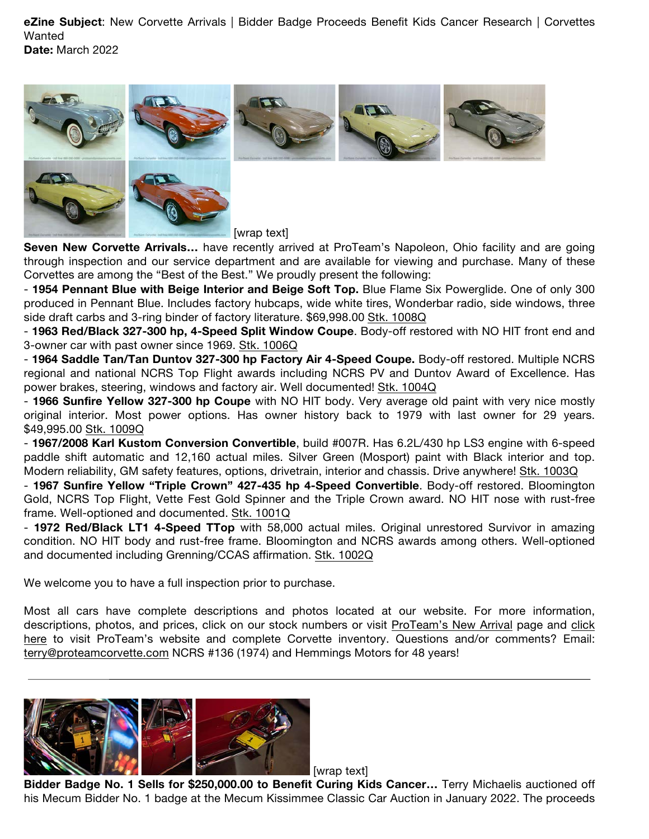**eZine Subject**: New Corvette Arrivals | Bidder Badge Proceeds Benefit Kids Cancer Research | Corvettes **Wanted Date:** March 2022

[wrap text]

**Seven New Corvette Arrivals…** have recently arrived at ProTeam's Napoleon, Ohio facility and are going through inspection and our service department and are available for viewing and purchase. Many of these Corvettes are among the "Best of the Best." We proudly present the following:

- **1954 Pennant Blue with Beige Interior and Beige Soft Top.** Blue Flame Six Powerglide. One of only 300 produced in Pennant Blue. Includes factory hubcaps, wide white tires, Wonderbar radio, side windows, three side draft carbs and 3-ring binder of factory literature. \$69,998.00 Stk. 1008Q

- **1963 Red/Black 327-300 hp, 4-Speed Split Window Coupe**. Body-off restored with NO HIT front end and 3-owner car with past owner since 1969. Stk. 1006Q

- **1964 Saddle Tan/Tan Duntov 327-300 hp Factory Air 4-Speed Coupe.** Body-off restored. Multiple NCRS regional and national NCRS Top Flight awards including NCRS PV and Duntov Award of Excellence. Has power brakes, steering, windows and factory air. Well documented! Stk. 1004Q

- **1966 Sunfire Yellow 327-300 hp Coupe** with NO HIT body. Very average old paint with very nice mostly original interior. Most power options. Has owner history back to 1979 with last owner for 29 years. \$49,995.00 Stk. 1009Q

- **1967/2008 Karl Kustom Conversion Convertible**, build #007R. Has 6.2L/430 hp LS3 engine with 6-speed paddle shift automatic and 12,160 actual miles. Silver Green (Mosport) paint with Black interior and top. Modern reliability, GM safety features, options, drivetrain, interior and chassis. Drive anywhere! Stk. 1003Q

- **1967 Sunfire Yellow "Triple Crown" 427-435 hp 4-Speed Convertible**. Body-off restored. Bloomington Gold, NCRS Top Flight, Vette Fest Gold Spinner and the Triple Crown award. NO HIT nose with rust-free frame. Well-optioned and documented. Stk. 1001Q

- **1972 Red/Black LT1 4-Speed TTop** with 58,000 actual miles. Original unrestored Survivor in amazing condition. NO HIT body and rust-free frame. Bloomington and NCRS awards among others. Well-optioned and documented including Grenning/CCAS affirmation. Stk. 1002Q

We welcome you to have a full inspection prior to purchase.

Most all cars have complete descriptions and photos located at our website. For more information, descriptions, photos, and prices, click on our stock numbers or visit ProTeam's New Arrival page and click here to visit ProTeam's website and complete Corvette inventory. Questions and/or comments? Email: terry@proteamcorvette.com NCRS #136 (1974) and Hemmings Motors for 48 years!



**Bidder Badge No. 1 Sells for \$250,000.00 to Benefit Curing Kids Cancer…** Terry Michaelis auctioned off his Mecum Bidder No. 1 badge at the Mecum Kissimmee Classic Car Auction in January 2022. The proceeds

[wrap text]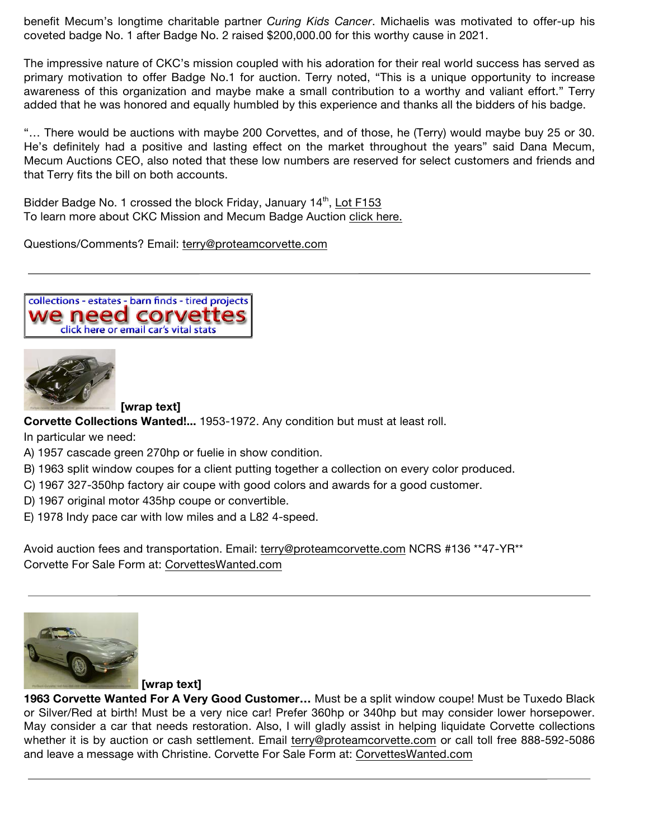benefit Mecum's longtime charitable partner *Curing Kids Cancer*. Michaelis was motivated to offer-up his coveted badge No. 1 after Badge No. 2 raised \$200,000.00 for this worthy cause in 2021.

The impressive nature of CKC's mission coupled with his adoration for their real world success has served as primary motivation to offer Badge No.1 for auction. Terry noted, "This is a unique opportunity to increase awareness of this organization and maybe make a small contribution to a worthy and valiant effort." Terry added that he was honored and equally humbled by this experience and thanks all the bidders of his badge.

"… There would be auctions with maybe 200 Corvettes, and of those, he (Terry) would maybe buy 25 or 30. He's definitely had a positive and lasting effect on the market throughout the years" said Dana Mecum, Mecum Auctions CEO, also noted that these low numbers are reserved for select customers and friends and that Terry fits the bill on both accounts.

Bidder Badge No. 1 crossed the block Friday, January 14<sup>th</sup>, Lot F153 To learn more about CKC Mission and Mecum Badge Auction click here.

Questions/Comments? Email: terry@proteamcorvette.com

collections - estates - barn finds - tired projects we need corvett click here or email car's vital stats



**[wrap text]**

**Corvette Collections Wanted!...** 1953-1972. Any condition but must at least roll.

In particular we need:

- A) 1957 cascade green 270hp or fuelie in show condition.
- B) 1963 split window coupes for a client putting together a collection on every color produced.
- C) 1967 327-350hp factory air coupe with good colors and awards for a good customer.
- D) 1967 original motor 435hp coupe or convertible.
- E) 1978 Indy pace car with low miles and a L82 4-speed.

Avoid auction fees and transportation. Email: terry@proteamcorvette.com NCRS #136 \*\*47-YR\*\* Corvette For Sale Form at: CorvettesWanted.com



**[wrap text]**

**1963 Corvette Wanted For A Very Good Customer…** Must be a split window coupe! Must be Tuxedo Black or Silver/Red at birth! Must be a very nice car! Prefer 360hp or 340hp but may consider lower horsepower. May consider a car that needs restoration. Also, I will gladly assist in helping liquidate Corvette collections whether it is by auction or cash settlement. Email terry@proteamcorvette.com or call toll free 888-592-5086 and leave a message with Christine. Corvette For Sale Form at: CorvettesWanted.com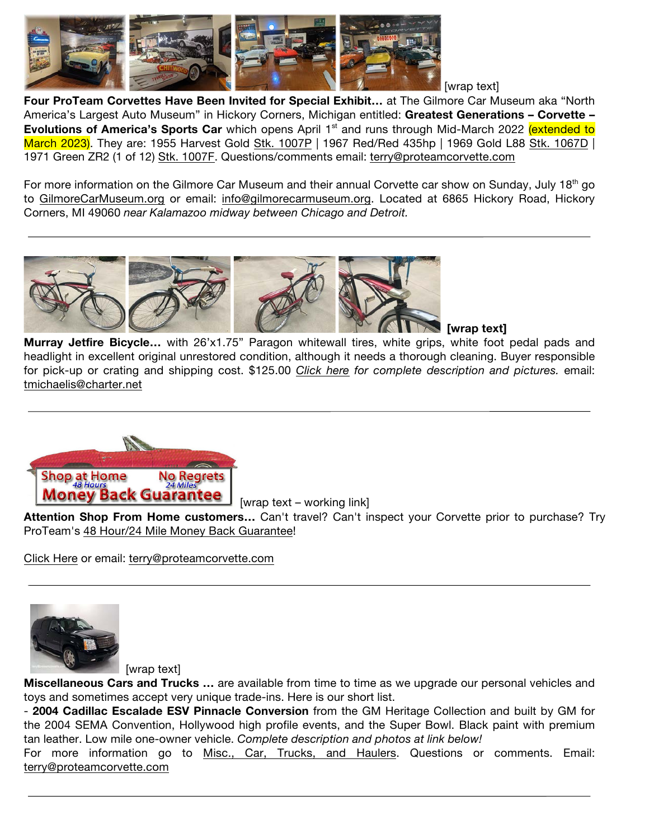

[wrap text]

**Four ProTeam Corvettes Have Been Invited for Special Exhibit…** at The Gilmore Car Museum aka "North America's Largest Auto Museum" in Hickory Corners, Michigan entitled: **Greatest Generations – Corvette – Evolutions of America's Sports Car** which opens April 1<sup>st</sup> and runs through Mid-March 2022 (extended to March 2023). They are: 1955 Harvest Gold Stk. 1007P | 1967 Red/Red 435hp | 1969 Gold L88 Stk. 1067D | 1971 Green ZR2 (1 of 12) Stk. 1007F. Questions/comments email: terry@proteamcorvette.com

For more information on the Gilmore Car Museum and their annual Corvette car show on Sunday, July 18<sup>th</sup> go to GilmoreCarMuseum.org or email: info@gilmorecarmuseum.org. Located at 6865 Hickory Road, Hickory Corners, MI 49060 *near Kalamazoo midway between Chicago and Detroit.*



 **[wrap text]**

**Murray Jetfire Bicycle…** with 26'x1.75" Paragon whitewall tires, white grips, white foot pedal pads and headlight in excellent original unrestored condition, although it needs a thorough cleaning. Buyer responsible for pick-up or crating and shipping cost. \$125.00 *Click here for complete description and pictures.* email: tmichaelis@charter.net



[wrap text – working link]

**Attention Shop From Home customers…** Can't travel? Can't inspect your Corvette prior to purchase? Try ProTeam's 48 Hour/24 Mile Money Back Guarantee!

Click Here or email: terry@proteamcorvette.com



[wrap text]

**Miscellaneous Cars and Trucks …** are available from time to time as we upgrade our personal vehicles and toys and sometimes accept very unique trade-ins. Here is our short list.

- **2004 Cadillac Escalade ESV Pinnacle Conversion** from the GM Heritage Collection and built by GM for the 2004 SEMA Convention, Hollywood high profile events, and the Super Bowl. Black paint with premium tan leather. Low mile one-owner vehicle. *Complete description and photos at link below!*

For more information go to Misc., Car, Trucks, and Haulers. Questions or comments. Email: terry@proteamcorvette.com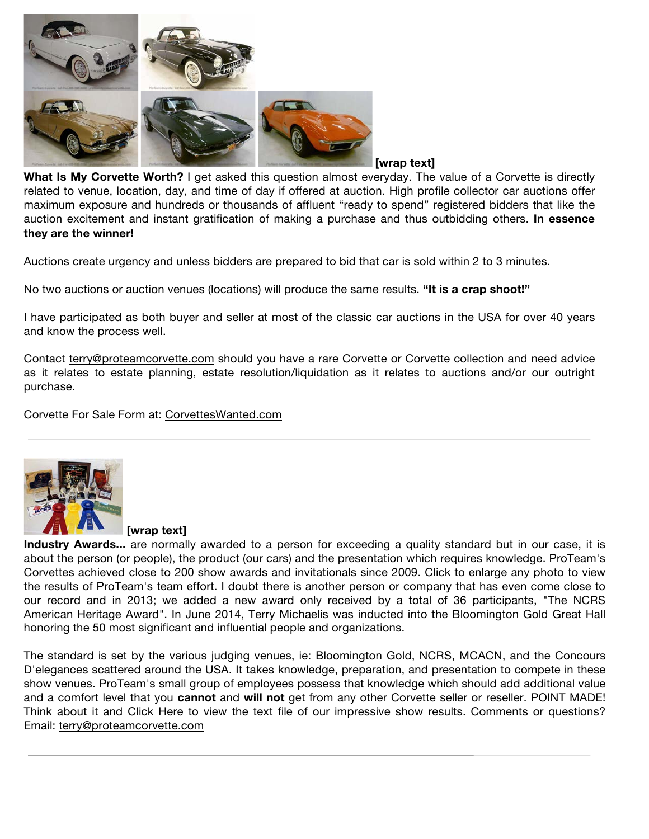

**[wrap text]**

**What Is My Corvette Worth?** I get asked this question almost everyday. The value of a Corvette is directly related to venue, location, day, and time of day if offered at auction. High profile collector car auctions offer maximum exposure and hundreds or thousands of affluent "ready to spend" registered bidders that like the auction excitement and instant gratification of making a purchase and thus outbidding others. **In essence they are the winner!**

Auctions create urgency and unless bidders are prepared to bid that car is sold within 2 to 3 minutes.

No two auctions or auction venues (locations) will produce the same results. **"It is a crap shoot!"**

I have participated as both buyer and seller at most of the classic car auctions in the USA for over 40 years and know the process well.

Contact terry@proteamcorvette.com should you have a rare Corvette or Corvette collection and need advice as it relates to estate planning, estate resolution/liquidation as it relates to auctions and/or our outright purchase.

Corvette For Sale Form at: CorvettesWanted.com



**[wrap text]**

**Industry Awards...** are normally awarded to a person for exceeding a quality standard but in our case, it is about the person (or people), the product (our cars) and the presentation which requires knowledge. ProTeam's Corvettes achieved close to 200 show awards and invitationals since 2009. Click to enlarge any photo to view the results of ProTeam's team effort. I doubt there is another person or company that has even come close to our record and in 2013; we added a new award only received by a total of 36 participants, "The NCRS American Heritage Award". In June 2014, Terry Michaelis was inducted into the Bloomington Gold Great Hall honoring the 50 most significant and influential people and organizations.

The standard is set by the various judging venues, ie: Bloomington Gold, NCRS, MCACN, and the Concours D'elegances scattered around the USA. It takes knowledge, preparation, and presentation to compete in these show venues. ProTeam's small group of employees possess that knowledge which should add additional value and a comfort level that you **cannot** and **will not** get from any other Corvette seller or reseller. POINT MADE! Think about it and Click Here to view the text file of our impressive show results. Comments or questions? Email: terry@proteamcorvette.com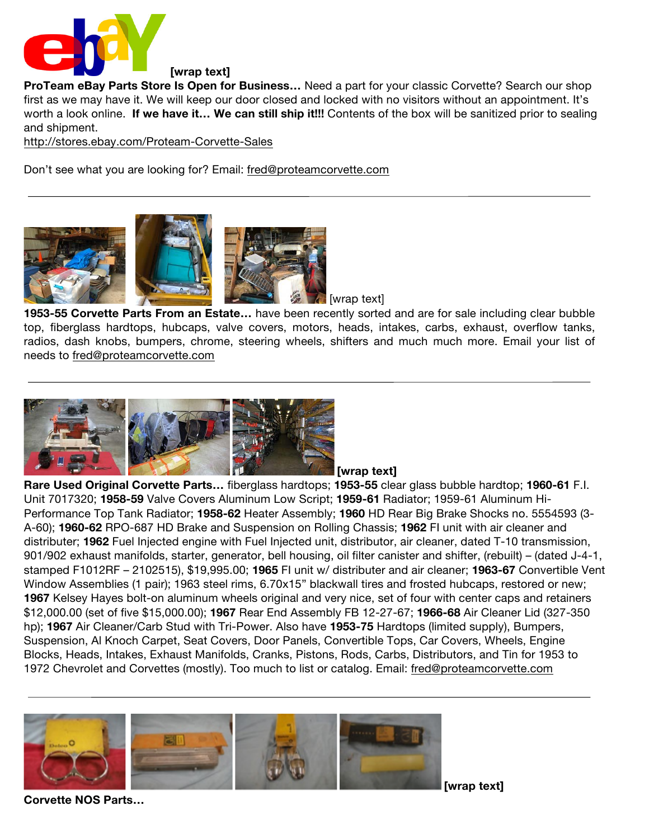

**ProTeam eBay Parts Store Is Open for Business…** Need a part for your classic Corvette? Search our shop first as we may have it. We will keep our door closed and locked with no visitors without an appointment. It's worth a look online. **If we have it… We can still ship it!!!** Contents of the box will be sanitized prior to sealing and shipment.

http://stores.ebay.com/Proteam-Corvette-Sales

Don't see what you are looking for? Email: fred@proteamcorvette.com



[wrap text]

**1953-55 Corvette Parts From an Estate…** have been recently sorted and are for sale including clear bubble top, fiberglass hardtops, hubcaps, valve covers, motors, heads, intakes, carbs, exhaust, overflow tanks, radios, dash knobs, bumpers, chrome, steering wheels, shifters and much much more. Email your list of needs to fred@proteamcorvette.com



**[wrap text]**

**Rare Used Original Corvette Parts…** fiberglass hardtops; **1953-55** clear glass bubble hardtop; **1960-61** F.I. Unit 7017320; **1958-59** Valve Covers Aluminum Low Script; **1959-61** Radiator; 1959-61 Aluminum Hi-Performance Top Tank Radiator; **1958-62** Heater Assembly; **1960** HD Rear Big Brake Shocks no. 5554593 (3- A-60); **1960-62** RPO-687 HD Brake and Suspension on Rolling Chassis; **1962** FI unit with air cleaner and distributer; **1962** Fuel Injected engine with Fuel Injected unit, distributor, air cleaner, dated T-10 transmission, 901/902 exhaust manifolds, starter, generator, bell housing, oil filter canister and shifter, (rebuilt) – (dated J-4-1, stamped F1012RF – 2102515), \$19,995.00; **1965** FI unit w/ distributer and air cleaner; **1963-67** Convertible Vent Window Assemblies (1 pair); 1963 steel rims, 6.70x15" blackwall tires and frosted hubcaps, restored or new; **1967** Kelsey Hayes bolt-on aluminum wheels original and very nice, set of four with center caps and retainers \$12,000.00 (set of five \$15,000.00); **1967** Rear End Assembly FB 12-27-67; **1966-68** Air Cleaner Lid (327-350 hp); **1967** Air Cleaner/Carb Stud with Tri-Power. Also have **1953-75** Hardtops (limited supply), Bumpers, Suspension, Al Knoch Carpet, Seat Covers, Door Panels, Convertible Tops, Car Covers, Wheels, Engine Blocks, Heads, Intakes, Exhaust Manifolds, Cranks, Pistons, Rods, Carbs, Distributors, and Tin for 1953 to 1972 Chevrolet and Corvettes (mostly). Too much to list or catalog. Email: fred@proteamcorvette.com



**Corvette NOS Parts…** 

**[wrap text]**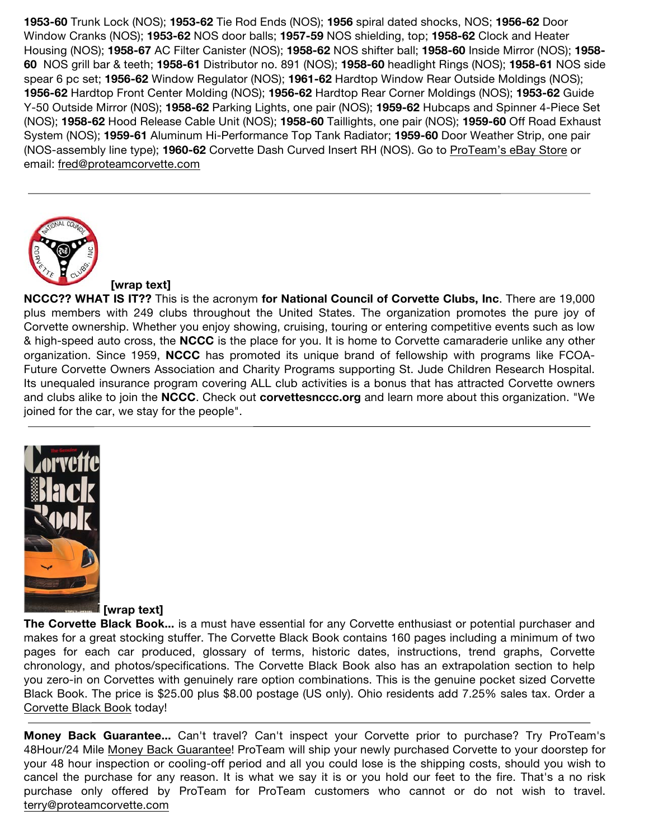**1953-60** Trunk Lock (NOS); **1953-62** Tie Rod Ends (NOS); **1956** spiral dated shocks, NOS; **1956-62** Door Window Cranks (NOS); **1953-62** NOS door balls; **1957-59** NOS shielding, top; **1958-62** Clock and Heater Housing (NOS); **1958-67** AC Filter Canister (NOS); **1958-62** NOS shifter ball; **1958-60** Inside Mirror (NOS); **1958- 60** NOS grill bar & teeth; **1958-61** Distributor no. 891 (NOS); **1958-60** headlight Rings (NOS); **1958-61** NOS side spear 6 pc set; **1956-62** Window Regulator (NOS); **1961-62** Hardtop Window Rear Outside Moldings (NOS); **1956-62** Hardtop Front Center Molding (NOS); **1956-62** Hardtop Rear Corner Moldings (NOS); **1953-62** Guide Y-50 Outside Mirror (N0S); **1958-62** Parking Lights, one pair (NOS); **1959-62** Hubcaps and Spinner 4-Piece Set (NOS); **1958-62** Hood Release Cable Unit (NOS); **1958-60** Taillights, one pair (NOS); **1959-60** Off Road Exhaust System (NOS); **1959-61** Aluminum Hi-Performance Top Tank Radiator; **1959-60** Door Weather Strip, one pair (NOS-assembly line type); **1960-62** Corvette Dash Curved Insert RH (NOS). Go to ProTeam's eBay Store or email: fred@proteamcorvette.com



## **[wrap text]**

**NCCC?? WHAT IS IT??** This is the acronym **for National Council of Corvette Clubs, Inc**. There are 19,000 plus members with 249 clubs throughout the United States. The organization promotes the pure joy of Corvette ownership. Whether you enjoy showing, cruising, touring or entering competitive events such as low & high-speed auto cross, the **NCCC** is the place for you. It is home to Corvette camaraderie unlike any other organization. Since 1959, **NCCC** has promoted its unique brand of fellowship with programs like FCOA-Future Corvette Owners Association and Charity Programs supporting St. Jude Children Research Hospital. Its unequaled insurance program covering ALL club activities is a bonus that has attracted Corvette owners and clubs alike to join the **NCCC**. Check out **corvettesnccc.org** and learn more about this organization. "We joined for the car, we stay for the people".



## **[wrap text]**

**The Corvette Black Book...** is a must have essential for any Corvette enthusiast or potential purchaser and makes for a great stocking stuffer. The Corvette Black Book contains 160 pages including a minimum of two pages for each car produced, glossary of terms, historic dates, instructions, trend graphs, Corvette chronology, and photos/specifications. The Corvette Black Book also has an extrapolation section to help you zero-in on Corvettes with genuinely rare option combinations. This is the genuine pocket sized Corvette Black Book. The price is \$25.00 plus \$8.00 postage (US only). Ohio residents add 7.25% sales tax. Order a Corvette Black Book today!

**Money Back Guarantee...** Can't travel? Can't inspect your Corvette prior to purchase? Try ProTeam's 48Hour/24 Mile Money Back Guarantee! ProTeam will ship your newly purchased Corvette to your doorstep for your 48 hour inspection or cooling-off period and all you could lose is the shipping costs, should you wish to cancel the purchase for any reason. It is what we say it is or you hold our feet to the fire. That's a no risk purchase only offered by ProTeam for ProTeam customers who cannot or do not wish to travel. terry@proteamcorvette.com